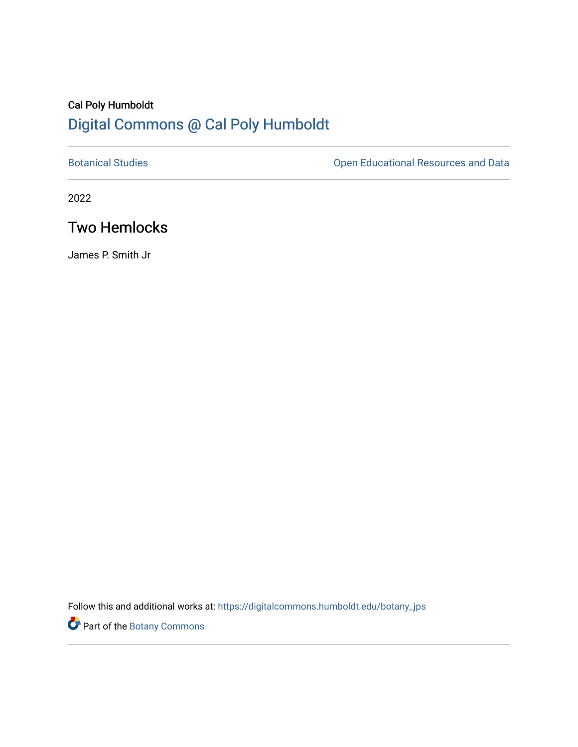# Cal Poly Humboldt [Digital Commons @ Cal Poly Humboldt](https://digitalcommons.humboldt.edu/)

[Botanical Studies](https://digitalcommons.humboldt.edu/botany_jps) **Botanical Studies Open Educational Resources and Data** 

2022

## Two Hemlocks

James P. Smith Jr

Follow this and additional works at: [https://digitalcommons.humboldt.edu/botany\\_jps](https://digitalcommons.humboldt.edu/botany_jps?utm_source=digitalcommons.humboldt.edu%2Fbotany_jps%2F106&utm_medium=PDF&utm_campaign=PDFCoverPages) 

Part of the [Botany Commons](http://network.bepress.com/hgg/discipline/104?utm_source=digitalcommons.humboldt.edu%2Fbotany_jps%2F106&utm_medium=PDF&utm_campaign=PDFCoverPages)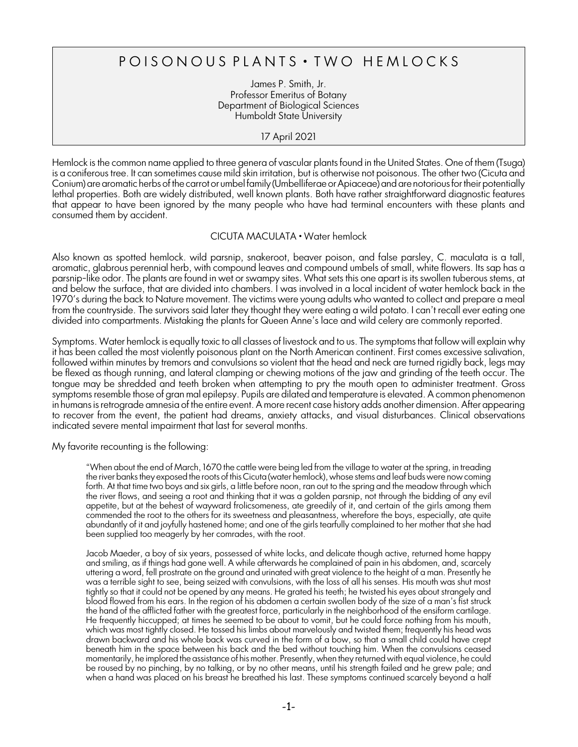### POISONOUS PLANTS . TWO HEMLOCKS

James P. Smith, Jr. Professor Emeritus of Botany Department of Biological Sciences Humboldt State University

#### 17 April 2021

Hemlock is the common name applied to three genera of vascular plants found in the United States. One of them (*Tsuga*) is a coniferous tree. It can sometimes cause mild skin irritation, but is otherwise not poisonous. The other two (*Cicuta* and Conium) are aromatic herbs of the carrot or umbel family (Umbelliferae or Apiaceae) and are notorious for their potentially lethal properties. Both are widely distributed, well known plants. Both have rather straightforward diagnostic features that appear to have been ignored by the many people who have had terminal encounters with these plants and consumed them by accident.

#### *CICUTA MACULATA* • Water hemlock

Also known as spotted hemlock. wild parsnip, snakeroot, beaver poison, and false parsley, *C. maculata* is a tall, aromatic, glabrous perennial herb, with compound leaves and compound umbels of small, white flowers. Its sap has a parsnip-like odor. The plants are found in wet or swampy sites. What sets this one apart is its swollen tuberous stems, at and below the surface, that are divided into chambers. I was involved in a local incident of water hemlock back in the 1970's during the back to Nature movement. The victims were young adults who wanted to collect and prepare a meal from the countryside. The survivors said later they thought they were eating a wild potato. I can't recall ever eating one divided into compartments. Mistaking the plants for Queen Anne's lace and wild celery are commonly reported.

Symptoms. Water hemlock is equally toxic to all classes of livestock and to us. The symptoms that follow will explain why it has been called the most violently poisonous plant on the North American continent. First comes excessive salivation, followed within minutes by tremors and convulsions so violent that the head and neck are turned rigidly back, legs may be flexed as though running, and lateral clamping or chewing motions of the jaw and grinding of the teeth occur. The tongue may be shredded and teeth broken when attempting to pry the mouth open to administer treatment. Gross symptoms resemble those of gran mal epilepsy. Pupils are dilated and temperature is elevated. A common phenomenon in humansis retrograde amnesia of the entire event. A more recent case history adds another dimension. After appearing to recover from the event, the patient had dreams, anxiety attacks, and visual disturbances. Clinical observations indicated severe mental impairment that last for several months.

My favorite recounting is the following:

"When about the end of March, 1670 the cattle were being led from the village to water at the spring, in treading the river banks they exposed the roots of this *Cicuta* (water hemlock), whose stems and leaf buds were now coming forth. At that time two boys and six girls, a little before noon, ran out to the spring and the meadow through which the river flows, and seeing a root and thinking that it was a golden parsnip, not through the bidding of any evil appetite, but at the behest of wayward frolicsomeness, ate greedily of it, and certain of the girls among them commended the root to the others for its sweetness and pleasantness, wherefore the boys, especially, ate quite abundantly of it and joyfully hastened home; and one of the girls tearfully complained to her mother that she had been supplied too meagerly by her comrades, with the root.

Jacob Maeder, a boy of six years, possessed of white locks, and delicate though active, returned home happy and smiling, as if things had gone well. A while afterwards he complained of pain in his abdomen, and, scarcely uttering a word, fell prostrate on the ground and urinated with great violence to the height of a man. Presently he was a terrible sight to see, being seized with convulsions, with the loss of all his senses. His mouth was shut most tightly so that it could not be opened by any means. He grated his teeth; he twisted his eyes about strangely and blood flowed from his ears. In the region of his abdomen a certain swollen body of the size of a man's fist struck the hand of the afflicted father with the greatest force, particularly in the neighborhood of the ensiform cartilage. He frequently hiccupped; at times he seemed to be about to vomit, but he could force nothing from his mouth, which was most tightly closed. He tossed his limbs about marvelously and twisted them; frequently his head was drawn backward and his whole back was curved in the form of a bow, so that a small child could have crept beneath him in the space between his back and the bed without touching him. When the convulsions ceased momentarily, he implored the assistance of his mother. Presently, when they returned with equal violence, he could be roused by no pinching, by no talking, or by no other means, until his strength failed and he grew pale; and when a hand was placed on his breast he breathed his last. These symptoms continued scarcely beyond a half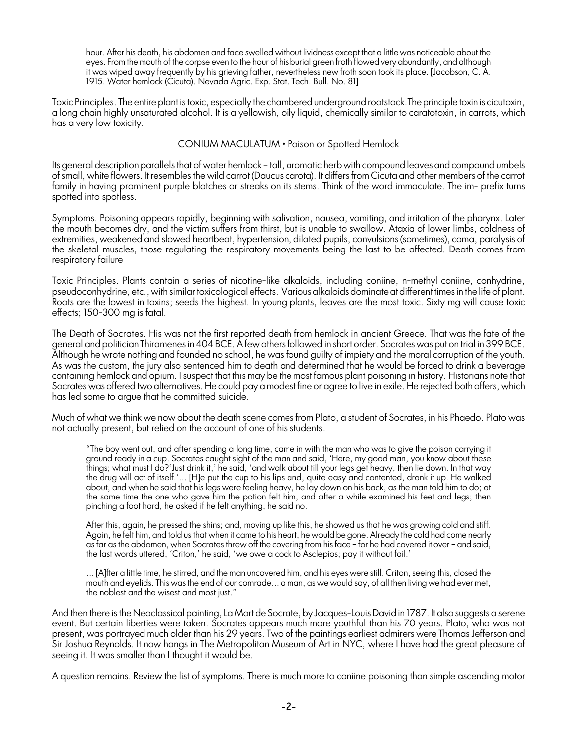hour. After his death, his abdomen and face swelled without lividness except that a little was noticeable about the eyes. From the mouth of the corpse even to the hour of his burial green froth flowed very abundantly, and although it was wiped away frequently by his grieving father, nevertheless new froth soon took its place. [Jacobson, C. A. 1915. Water hemlock (*Cicuta*). Nevada Agric. Exp. Stat. Tech. Bull. No. 81]

Toxic Principles. The entire plant is toxic, especially the chambered underground rootstock.The principle toxin is cicutoxin, a long chain highly unsaturated alcohol. It is a yellowish, oily liquid, chemically similar to caratotoxin, in carrots, which has a very low toxicity.

#### *CONIUM MACULATUM •* Poison or Spotted Hemlock

Its general description parallels that of water hemlock – tall, aromatic herb with compound leaves and compound umbels of small, white flowers. It resembles the wild carrot (*Daucus carota*). It differs from *Cicuta* and other members of the carrot family in having prominent purple blotches or streaks on its stems. Think of the word immaculate. The im- prefix turns spotted into spotless.

Symptoms. Poisoning appears rapidly, beginning with salivation, nausea, vomiting, and irritation of the pharynx. Later the mouth becomes dry, and the victim suffers from thirst, but is unable to swallow. Ataxia of lower limbs, coldness of extremities, weakened and slowed heartbeat, hypertension, dilated pupils, convulsions (sometimes), coma, paralysis of the skeletal muscles, those regulating the respiratory movements being the last to be affected. Death comes from respiratory failure

Toxic Principles. Plants contain a series of nicotine-like alkaloids, including coniine, n-methyl coniine, conhydrine, pseudoconhydrine, etc., with similartoxicological effects. Various alkaloids dominate atdifferent times in the life of plant. Roots are the lowest in toxins; seeds the highest. In young plants, leaves are the most toxic. Sixty mg will cause toxic effects; 150-300 mg is fatal.

The Death of Socrates. His was not the first reported death from hemlock in ancient Greece. That was the fate of the general and politician Thiramenes in 404 BCE. A few others followed in short order. Socrates was put on trial in 399 BCE. Although he wrote nothing and founded no school, he was found guilty of impiety and the moral corruption of the youth. As was the custom, the jury also sentenced him to death and determined that he would be forced to drink a beverage containing hemlock and opium. Isuspect that this may be the most famous plant poisoning in history. Historians note that Socrates was offered two alternatives. He could pay a modest fine or agree to live in exile. He rejected both offers, which has led some to argue that he committed suicide.

Much of what we think we now about the death scene comes from Plato, a student of Socrates, in his *Phaedo*. Plato was not actually present, but relied on the account of one of his students.

"The boy went out, and after spending a long time, came in with the man who was to give the poison carrying it ground ready in a cup. Socrates caught sight of the man and said, 'Here, my good man, you know about these things; what must I do?'Just drink it,' he said, 'and walk about till your legs get heavy, then lie down. In that way the drug will act of itself.'... [H]e put the cup to his lips and, quite easy and contented, drank it up. He walked about, and when he said that his legs were feeling heavy, he lay down on his back, as the man told him to do; at the same time the one who gave him the potion felt him, and after a while examined his feet and legs; then pinching a foot hard, he asked if he felt anything; he said no.

After this, again, he pressed the shins; and, moving up like this, he showed us that he was growing cold and stiff. Again, he felt him, and told us that when it came to his heart, he would be gone. Already the cold had come nearly as far as the abdomen, when Socrates threw off the covering from his face – for he had covered it over – and said, the last words uttered, 'Criton,' he said, 'we owe a cock to Asclepios; pay it without fail.'

... [A]fter a little time, he stirred, and the man uncovered him, and his eyes were still. Criton, seeing this, closed the mouth and eyelids. This was the end of our comrade... a man, as we would say, of all then living we had ever met, the noblest and the wisest and most just."

And then there is the Neoclassical painting, *La Mort de Socrate*, by Jacques-Louis David in 1787. It also suggests a serene event. But certain liberties were taken. Socrates appears much more youthful than his 70 years. Plato, who was not present, was portrayed much older than his 29 years. Two of the paintings earliest admirers were Thomas Jefferson and Sir Joshua Reynolds. It now hangs in The Metropolitan Museum of Art in NYC, where I have had the great pleasure of seeing it. It was smaller than I thought it would be.

A question remains. Review the list of symptoms. There is much more to coniine poisoning than simple ascending motor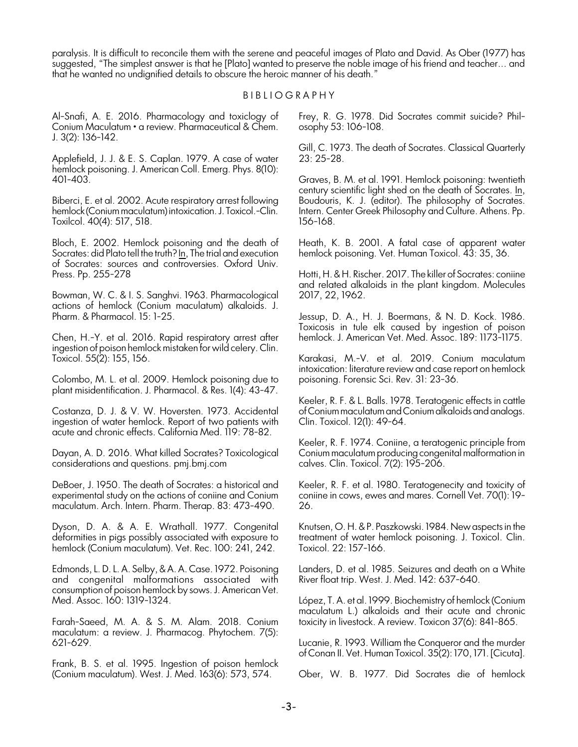paralysis. It is difficult to reconcile them with the serene and peaceful images of Plato and David. As Ober (1977) has suggested, "The simplest answer is that he [Plato] wanted to preserve the noble image of his friend and teacher... and that he wanted no undignified details to obscure the heroic manner of his death."

#### B I B L I O G R A P H Y

Al-Snafi, A. E. 2016. Pharmacology and toxiclogy of *Conium Maculatum* • a review. Pharmaceutical & Chem. J. 3(2): 136-142.

Applefield, J. J. & E. S. Caplan. 1979. A case of water hemlock poisoning. J. American Coll. Emerg. Phys. 8(10): 401-403.

Biberci, E. et al. 2002. Acute respiratory arrest following hemlock (Conium maculatum) intoxication. J. Toxicol.-Clin. Toxilcol. 40(4): 517, 518.

Bloch, E. 2002. Hemlock poisoning and the death of Socrates: did Plato tell the truth? In, The trial and execution of Socrates: sources and controversies. Oxford Univ. Press. Pp. 255-278

Bowman, W. C. & I. S. Sanghvi. 1963. Pharmacological actions of hemlock (*Conium maculatum*) alkaloids. J. Pharm. & Pharmacol. 15: 1-25.

Chen, H.-Y. et al. 2016. Rapid respiratory arrest after ingestion of poison hemlock mistaken forwild celery. Clin. Toxicol. 55(2): 155, 156.

Colombo, M. L. et al. 2009. Hemlock poisoning due to plant misidentification. J. Pharmacol. & Res. 1(4): 43-47.

Costanza, D. J. & V. W. Hoversten. 1973. Accidental ingestion of water hemlock. Report of two patients with acute and chronic effects. California Med. 119: 78-82.

Dayan, A. D. 2016. What killed Socrates? Toxicological considerations and questions. pmj.bmj.com

DeBoer, J. 1950. The death of Socrates: a historical and experimental study on the actions of coniine and *Conium maculatum*. Arch. Intern. Pharm. Therap. 83: 473-490.

Dyson, D. A. & A. E. Wrathall. 1977. Congenital deformities in pigs possibly associated with exposure to hemlock (*Conium maculatum*). Vet. Rec. 100: 241, 242.

Edmonds, L. D. L. A. Selby, &A. A. Case. 1972. Poisoning and congenital malformations associated with consumption of poison hemlock by sows. J. American Vet. Med. Assoc. 160: 1319-1324.

Farah-Saeed, M. A. & S. M. Alam. 2018. *Conium maculatum*: a review. J. Pharmacog. Phytochem. 7(5): 621-629.

Frank, B. S. et al. 1995. Ingestion of poison hemlock (Conium maculatum). West. J. Med. 163(6): 573, 574.

Frey, R. G. 1978. Did Socrates commit suicide? Philosophy 53: 106-108.

Gill, C. 1973. The death of Socrates. Classical Quarterly 23: 25-28.

Graves, B. M. et al. 1991. Hemlock poisoning: twentieth century scientific light shed on the death of Socrates. In, Boudouris, K. J. (editor). The philosophy of Socrates. Intern. Center Greek Philosophy and Culture. Athens. Pp. 156-168.

Heath, K. B. 2001. A fatal case of apparent water hemlock poisoning. Vet. Human Toxicol. 43: 35, 36.

Hotti, H. & H. Rischer. 2017. The killer of Socrates: coniine and related alkaloids in the plant kingdom. Molecules 2017, 22, 1962.

Jessup, D. A., H. J. Boermans, & N. D. Kock. 1986. Toxicosis in tule elk caused by ingestion of poison hemlock. J. American Vet. Med. Assoc. 189: 1173-1175.

Karakasi, M.-V. et al. 2019. *Conium maculatum* intoxication: literature review and case report on hemlock poisoning. Forensic Sci. Rev. 31: 23-36.

Keeler, R. F. & L. Balls. 1978. Teratogenic effects in cattle of *Conium maculatum*and *Conium*alkaloids and analogs. Clin. Toxicol. 12(1): 49-64.

Keeler, R. F. 1974. Coniine, a teratogenic principle from *Conium maculatum* producing congenital malformation in calves. Clin. Toxicol. 7(2): 195-206.

Keeler, R. F. et al. 1980. Teratogenecity and toxicity of coniine in cows, ewes and mares. Cornell Vet. 70(1): 19- 26.

Knutsen, O. H. &P. Paszkowski. 1984. New aspects in the treatment of water hemlock poisoning. J. Toxicol. Clin. Toxicol. 22: 157-166.

Landers, D. et al. 1985. Seizures and death on a White River float trip. West. J. Med. 142: 637-640.

López, T. A. et al. 1999. Biochemistry of hemlock (*Conium maculatum* L.) alkaloids and their acute and chronic toxicity in livestock. A review. Toxicon 37(6): 841-865.

Lucanie, R. 1993. William the Conqueror and the murder of Conan II. Vet. Human Toxicol. 35(2): 170, 171. [Cicuta].

Ober, W. B. 1977. Did Socrates die of hemlock